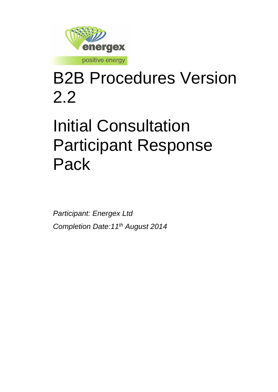

# B2B Procedures Version 2.2

# Initial Consultation Participant Response Pack

*Participant: Energex Ltd Completion Date:11th August 2014*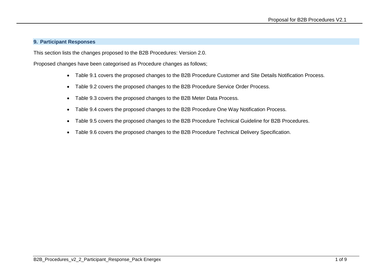#### **9. Participant Responses**

This section lists the changes proposed to the B2B Procedures: Version 2.0.

Proposed changes have been categorised as Procedure changes as follows;

- Table 9.1 covers the proposed changes to the B2B Procedure Customer and Site Details Notification Process.
- Table 9.2 covers the proposed changes to the B2B Procedure Service Order Process.
- Table 9.3 covers the proposed changes to the B2B Meter Data Process.
- Table 9.4 covers the proposed changes to the B2B Procedure One Way Notification Process.
- Table 9.5 covers the proposed changes to the B2B Procedure Technical Guideline for B2B Procedures.
- Table 9.6 covers the proposed changes to the B2B Procedure Technical Delivery Specification.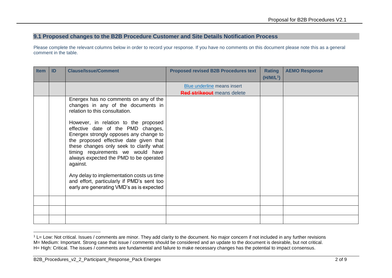## **9.1 Proposed changes to the B2B Procedure Customer and Site Details Notification Process**

Please complete the relevant columns below in order to record your response. If you have no comments on this document please note this as a general comment in the table.

| <b>Item</b> | ID | <b>Clause/Issue/Comment</b>                                                                                                                                                                                                                                                                          | <b>Proposed revised B2B Procedures text</b> | <b>Rating</b> | <b>AEMO Response</b> |
|-------------|----|------------------------------------------------------------------------------------------------------------------------------------------------------------------------------------------------------------------------------------------------------------------------------------------------------|---------------------------------------------|---------------|----------------------|
|             |    |                                                                                                                                                                                                                                                                                                      |                                             | $(H/M/L^1)$   |                      |
|             |    |                                                                                                                                                                                                                                                                                                      | Blue underline means insert                 |               |                      |
|             |    |                                                                                                                                                                                                                                                                                                      | Red strikeout means delete                  |               |                      |
|             |    | Energex has no comments on any of the<br>changes in any of the documents in<br>relation to this consultation.                                                                                                                                                                                        |                                             |               |                      |
|             |    | However, in relation to the proposed<br>effective date of the PMD changes,<br>Energex strongly opposes any change to<br>the proposed effective date given that<br>these changes only seek to clarify what<br>timing requirements we would have<br>always expected the PMD to be operated<br>against. |                                             |               |                      |
|             |    | Any delay to implementation costs us time<br>and effort, particularly if PMD's sent too<br>early are generating VMD's as is expected                                                                                                                                                                 |                                             |               |                      |
|             |    |                                                                                                                                                                                                                                                                                                      |                                             |               |                      |
|             |    |                                                                                                                                                                                                                                                                                                      |                                             |               |                      |
|             |    |                                                                                                                                                                                                                                                                                                      |                                             |               |                      |

 $1$  L= Low: Not critical. Issues / comments are minor. They add clarity to the document. No major concern if not included in any further revisions M= Medium: Important. Strong case that issue / comments should be considered and an update to the document is desirable, but not critical. H= High: Critical. The issues / comments are fundamental and failure to make necessary changes has the potential to impact consensus.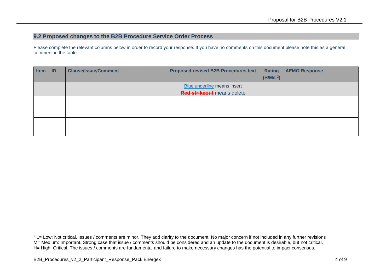## **9.2 Proposed changes to the B2B Procedure Service Order Process**

Please complete the relevant columns below in order to record your response. If you have no comments on this document please note this as a general comment in the table.

| <b>Item</b> | ID | <b>Clause/Issue/Comment</b> | <b>Proposed revised B2B Procedures text</b> | <b>Rating</b>         | <b>AEMO Response</b> |
|-------------|----|-----------------------------|---------------------------------------------|-----------------------|----------------------|
|             |    |                             |                                             | (H/M/L <sup>2</sup> ) |                      |
|             |    |                             | Blue underline means insert                 |                       |                      |
|             |    |                             | <b>Red strikeout</b> means delete           |                       |                      |
|             |    |                             |                                             |                       |                      |
|             |    |                             |                                             |                       |                      |
|             |    |                             |                                             |                       |                      |
|             |    |                             |                                             |                       |                      |
|             |    |                             |                                             |                       |                      |

 $2$  L= Low: Not critical. Issues / comments are minor. They add clarity to the document. No major concern if not included in any further revisions M= Medium: Important. Strong case that issue / comments should be considered and an update to the document is desirable, but not critical. H= High: Critical. The issues / comments are fundamental and failure to make necessary changes has the potential to impact consensus.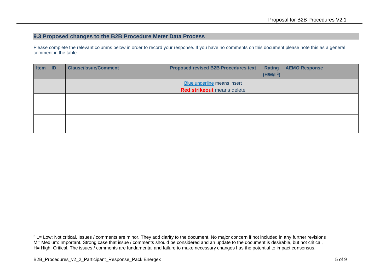## **9.3 Proposed changes to the B2B Procedure Meter Data Process**

Please complete the relevant columns below in order to record your response. If you have no comments on this document please note this as a general comment in the table.

| <b>Item</b> | $\blacksquare$ | <b>Clause/Issue/Comment</b> | <b>Proposed revised B2B Procedures text</b>                      | <b>Rating</b><br>$(H/M/L^3)$ | <b>AEMO Response</b> |
|-------------|----------------|-----------------------------|------------------------------------------------------------------|------------------------------|----------------------|
|             |                |                             | Blue underline means insert<br><b>Red strikeout</b> means delete |                              |                      |
|             |                |                             |                                                                  |                              |                      |
|             |                |                             |                                                                  |                              |                      |
|             |                |                             |                                                                  |                              |                      |
|             |                |                             |                                                                  |                              |                      |

<sup>-</sup><sup>3</sup> L= Low: Not critical. Issues / comments are minor. They add clarity to the document. No major concern if not included in any further revisions M= Medium: Important. Strong case that issue / comments should be considered and an update to the document is desirable, but not critical. H= High: Critical. The issues / comments are fundamental and failure to make necessary changes has the potential to impact consensus.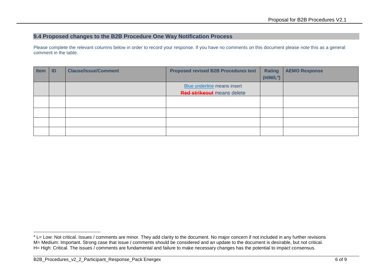## **9.4 Proposed changes to the B2B Procedure One Way Notification Process**

Please complete the relevant columns below in order to record your response. If you have no comments on this document please note this as a general comment in the table.

| <b>Item</b> | ID | <b>Clause/Issue/Comment</b> | <b>Proposed revised B2B Procedures text</b> | <b>Rating</b>         | <b>AEMO Response</b> |
|-------------|----|-----------------------------|---------------------------------------------|-----------------------|----------------------|
|             |    |                             |                                             | (H/M/L <sup>4</sup> ) |                      |
|             |    |                             | Blue underline means insert                 |                       |                      |
|             |    |                             | <b>Red strikeout</b> means delete           |                       |                      |
|             |    |                             |                                             |                       |                      |
|             |    |                             |                                             |                       |                      |
|             |    |                             |                                             |                       |                      |
|             |    |                             |                                             |                       |                      |
|             |    |                             |                                             |                       |                      |

<sup>&</sup>lt;sup>4</sup> L= Low: Not critical. Issues / comments are minor. They add clarity to the document. No major concern if not included in any further revisions M= Medium: Important. Strong case that issue / comments should be considered and an update to the document is desirable, but not critical. H= High: Critical. The issues / comments are fundamental and failure to make necessary changes has the potential to impact consensus.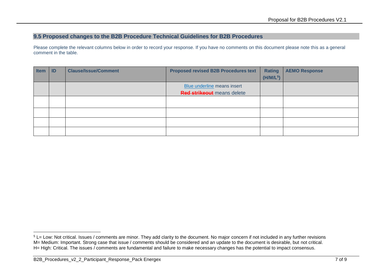#### **9.5 Proposed changes to the B2B Procedure Technical Guidelines for B2B Procedures**

Please complete the relevant columns below in order to record your response. If you have no comments on this document please note this as a general comment in the table.

| <b>Item</b> | ID | <b>Clause/Issue/Comment</b> | <b>Proposed revised B2B Procedures text</b> | Rating                | <b>AEMO Response</b> |
|-------------|----|-----------------------------|---------------------------------------------|-----------------------|----------------------|
|             |    |                             |                                             | (H/M/L <sup>5</sup> ) |                      |
|             |    |                             | Blue underline means insert                 |                       |                      |
|             |    |                             | <b>Red strikeout</b> means delete           |                       |                      |
|             |    |                             |                                             |                       |                      |
|             |    |                             |                                             |                       |                      |
|             |    |                             |                                             |                       |                      |
|             |    |                             |                                             |                       |                      |
|             |    |                             |                                             |                       |                      |

 $5$  L= Low: Not critical. Issues / comments are minor. They add clarity to the document. No major concern if not included in any further revisions M= Medium: Important. Strong case that issue / comments should be considered and an update to the document is desirable, but not critical. H= High: Critical. The issues / comments are fundamental and failure to make necessary changes has the potential to impact consensus.